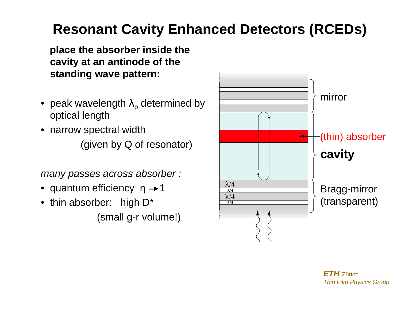# **Resonant Cavity Enhanced Detectors (RCEDs)**

**place the absorber inside the cavity at an antinode of the standing wave pattern:**

- $\bullet\,$  peak wavelength  $\lambda_\mathsf{p}$  determined by optical length
- • narrow spectral width (given by Q of resonator)

many passes across absorber :

- $\bullet\,$  quantum efficiency  $\,$   $\eta \rightarrow$  1
- thin absorber: high D\*

(small g-r volume!)

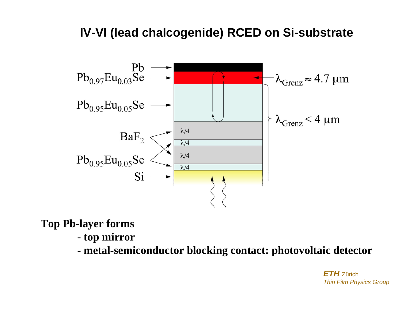### **IV-VI (lead chalcogenide) RCED on Si-substrate**



**Top Pb-layer forms** 

- **top mirror**
- **metal-semiconductor blocking contact: photovoltaic detector**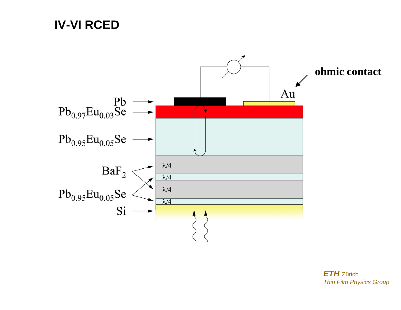### **IV-VI RCED**

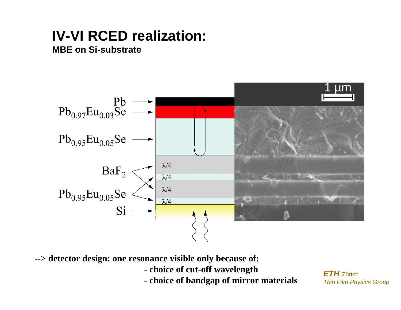## **IV-VI RCED realization:**

#### **MBE on Si-substrate**



**--> detector design: one resonance visible only because of:**

- **choice of cut-off wavelength**
- **choice of bandgap of mirror materials**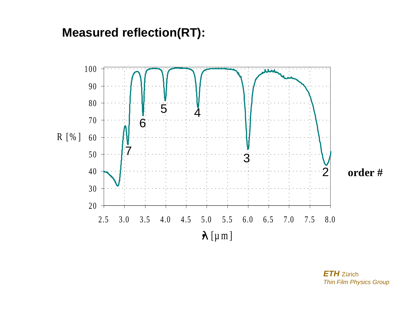### **Measured reflection(RT):**

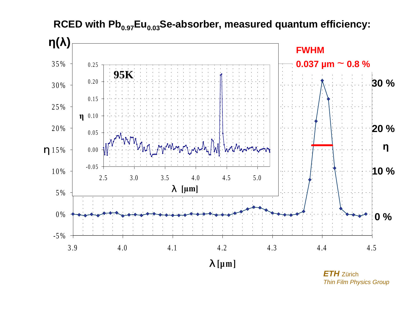

#### RCED with Pb<sub>0.97</sub>Eu<sub>0.03</sub>Se-absorber, measured quantum efficiency: